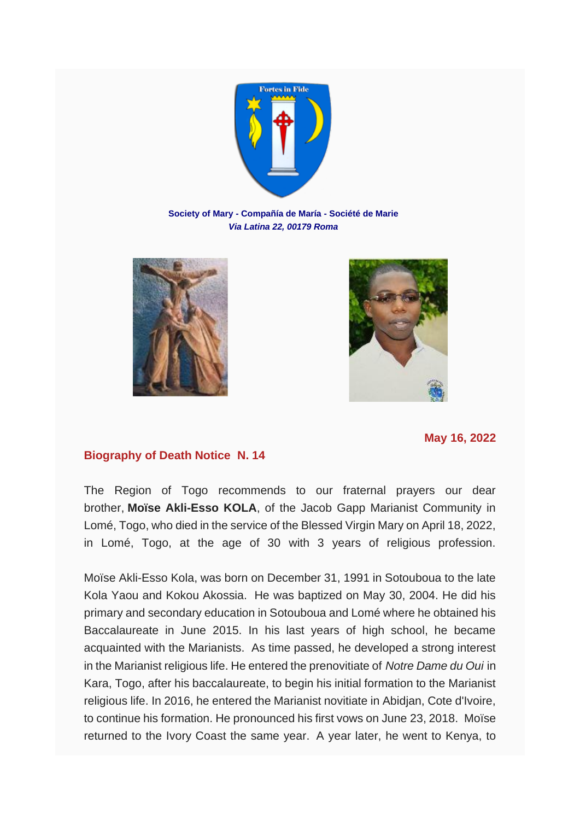

**Society of Mary - Compañía de María - Société de Marie** *Via Latina 22, 00179 Roma*





**May 16, 2022**

## **Biography of Death Notice N. 14**

The Region of Togo recommends to our fraternal prayers our dear brother, **Moïse Akli-Esso KOLA**, of the Jacob Gapp Marianist Community in Lomé, Togo, who died in the service of the Blessed Virgin Mary on April 18, 2022, in Lomé, Togo, at the age of 30 with 3 years of religious profession.

Moïse Akli-Esso Kola, was born on December 31, 1991 in Sotouboua to the late Kola Yaou and Kokou Akossia. He was baptized on May 30, 2004. He did his primary and secondary education in Sotouboua and Lomé where he obtained his Baccalaureate in June 2015. In his last years of high school, he became acquainted with the Marianists. As time passed, he developed a strong interest in the Marianist religious life. He entered the prenovitiate of *Notre Dame du Oui* in Kara, Togo, after his baccalaureate, to begin his initial formation to the Marianist religious life. In 2016, he entered the Marianist novitiate in Abidjan, Cote d'Ivoire, to continue his formation. He pronounced his first vows on June 23, 2018. Moïse returned to the Ivory Coast the same year. A year later, he went to Kenya, to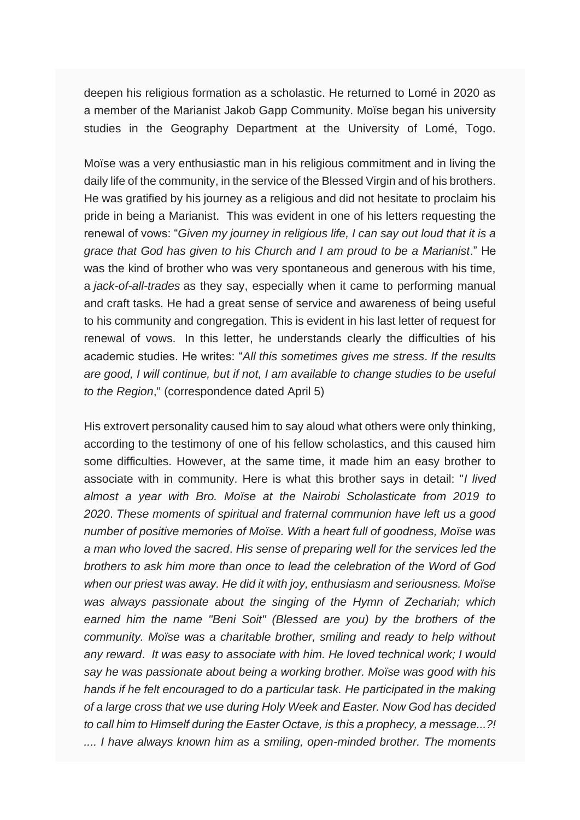deepen his religious formation as a scholastic. He returned to Lomé in 2020 as a member of the Marianist Jakob Gapp Community. Moïse began his university studies in the Geography Department at the University of Lomé, Togo.

Moïse was a very enthusiastic man in his religious commitment and in living the daily life of the community, in the service of the Blessed Virgin and of his brothers. He was gratified by his journey as a religious and did not hesitate to proclaim his pride in being a Marianist. This was evident in one of his letters requesting the renewal of vows: "*Given my journey in religious life, I can say out loud that it is a grace that God has given to his Church and I am proud to be a Marianist*." He was the kind of brother who was very spontaneous and generous with his time, a *jack-of-all-trades* as they say, especially when it came to performing manual and craft tasks. He had a great sense of service and awareness of being useful to his community and congregation. This is evident in his last letter of request for renewal of vows. In this letter, he understands clearly the difficulties of his academic studies. He writes: "*All this sometimes gives me stress*. *If the results are good, I will continue, but if not, I am available to change studies to be useful to the Region*," (correspondence dated April 5)

His extrovert personality caused him to say aloud what others were only thinking, according to the testimony of one of his fellow scholastics, and this caused him some difficulties. However, at the same time, it made him an easy brother to associate with in community. Here is what this brother says in detail: "*I lived almost a year with Bro. Moïse at the Nairobi Scholasticate from 2019 to 2020*. *These moments of spiritual and fraternal communion have left us a good number of positive memories of Moïse. With a heart full of goodness, Moïse was a man who loved the sacred*. *His sense of preparing well for the services led the brothers to ask him more than once to lead the celebration of the Word of God when our priest was away. He did it with joy, enthusiasm and seriousness. Moïse was always passionate about the singing of the Hymn of Zechariah; which earned him the name "Beni Soit" (Blessed are you) by the brothers of the community. Moïse was a charitable brother, smiling and ready to help without any reward*. *It was easy to associate with him. He loved technical work; I would say he was passionate about being a working brother. Moïse was good with his hands if he felt encouraged to do a particular task. He participated in the making of a large cross that we use during Holy Week and Easter. Now God has decided to call him to Himself during the Easter Octave, is this a prophecy, a message...?! .... I have always known him as a smiling, open-minded brother. The moments*